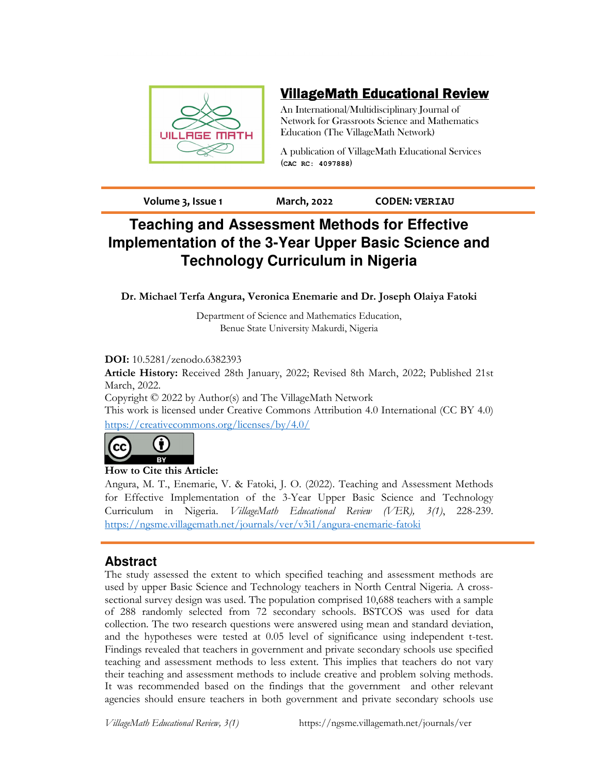

## VillageMath Educational Review

An International/Multidisciplinary Journal of Network for Grassroots Science and Mathematics Education (The VillageMath Network)

A publication of VillageMath Educational Services (**CAC RC: 4097888**)

**Volume 3, Issue 1 March, 2022 CODEN: VERIAU**

# **Teaching and Assessment Methods for Effective Implementation of the 3-Year Upper Basic Science and Technology Curriculum in Nigeria**

**Dr. Michael Terfa Angura, Veronica Enemarie and Dr. Joseph Olaiya Fatoki**

Department of Science and Mathematics Education, Benue State University Makurdi, Nigeria

## **DOI:** 10.5281/zenodo.6382393

**Article History:** Received 28th January, 2022; Revised 8th March, 2022; Published 21st March, 2022.

Copyright © 2022 by Author(s) and The VillageMath Network This work is licensed under Creative Commons Attribution 4.0 International (CC BY 4.0) https://creativecommons.org/licenses/by/4.0/



## **How to Cite this Article:**

Angura, M. T., Enemarie, V. & Fatoki, J. O. (2022). Teaching and Assessment Methods for Effective Implementation of the 3-Year Upper Basic Science and Technology Curriculum in Nigeria. *VillageMath Educational Review (VER), 3(1)*, 228-239. https://ngsme.villagemath.net/journals/ver/v3i1/angura-enemarie-fatoki

## **Abstract**

The study assessed the extent to which specified teaching and assessment methods are used by upper Basic Science and Technology teachers in North Central Nigeria. A crosssectional survey design was used. The population comprised 10,688 teachers with a sample of 288 randomly selected from 72 secondary schools. BSTCOS was used for data collection. The two research questions were answered using mean and standard deviation, and the hypotheses were tested at 0.05 level of significance using independent t-test. Findings revealed that teachers in government and private secondary schools use specified teaching and assessment methods to less extent. This implies that teachers do not vary their teaching and assessment methods to include creative and problem solving methods. It was recommended based on the findings that the government and other relevant agencies should ensure teachers in both government and private secondary schools use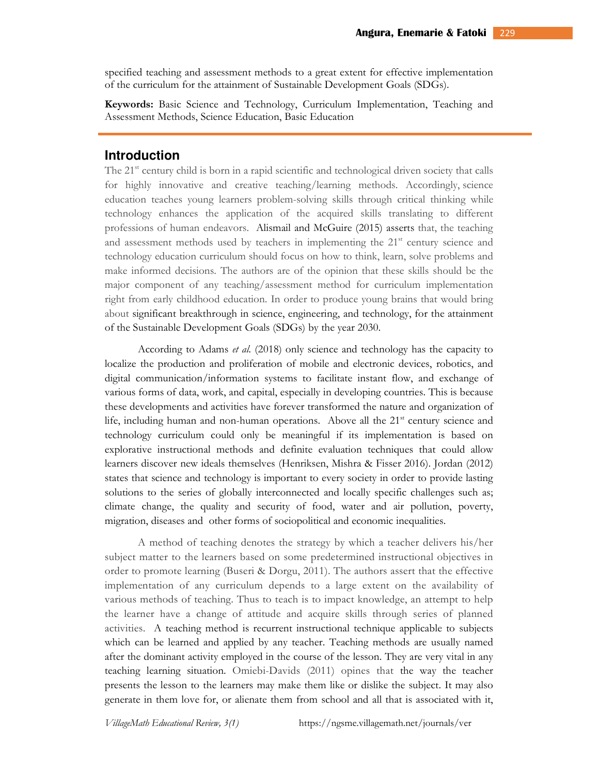specified teaching and assessment methods to a great extent for effective implementation of the curriculum for the attainment of Sustainable Development Goals (SDGs).

**Keywords:** Basic Science and Technology, Curriculum Implementation, Teaching and Assessment Methods, Science Education, Basic Education

## **Introduction**

The 21<sup>st</sup> century child is born in a rapid scientific and technological driven society that calls for highly innovative and creative teaching/learning methods. Accordingly, science education teaches young learners problem-solving skills through critical thinking while technology enhances the application of the acquired skills translating to different professions of human endeavors. Alismail and McGuire (2015) asserts that, the teaching and assessment methods used by teachers in implementing the 21<sup>st</sup> century science and technology education curriculum should focus on how to think, learn, solve problems and make informed decisions. The authors are of the opinion that these skills should be the major component of any teaching/assessment method for curriculum implementation right from early childhood education. In order to produce young brains that would bring about significant breakthrough in science, engineering, and technology, for the attainment of the Sustainable Development Goals (SDGs) by the year 2030.

According to Adams *et al.* (2018) only science and technology has the capacity to localize the production and proliferation of mobile and electronic devices, robotics, and digital communication/information systems to facilitate instant flow, and exchange of various forms of data, work, and capital, especially in developing countries. This is because these developments and activities have forever transformed the nature and organization of life, including human and non-human operations. Above all the  $21<sup>st</sup>$  century science and technology curriculum could only be meaningful if its implementation is based on explorative instructional methods and definite evaluation techniques that could allow learners discover new ideals themselves (Henriksen, Mishra & Fisser 2016). Jordan (2012) states that science and technology is important to every society in order to provide lasting solutions to the series of globally interconnected and locally specific challenges such as; climate change, the quality and security of food, water and air pollution, poverty, migration, diseases and other forms of sociopolitical and economic inequalities.

A method of teaching denotes the strategy by which a teacher delivers his/her subject matter to the learners based on some predetermined instructional objectives in order to promote learning (Buseri & Dorgu, 2011). The authors assert that the effective implementation of any curriculum depends to a large extent on the availability of various methods of teaching. Thus to teach is to impact knowledge, an attempt to help the learner have a change of attitude and acquire skills through series of planned activities. A teaching method is recurrent instructional technique applicable to subjects which can be learned and applied by any teacher. Teaching methods are usually named after the dominant activity employed in the course of the lesson. They are very vital in any teaching learning situation. Omiebi-Davids (2011) opines that the way the teacher presents the lesson to the learners may make them like or dislike the subject. It may also generate in them love for, or alienate them from school and all that is associated with it,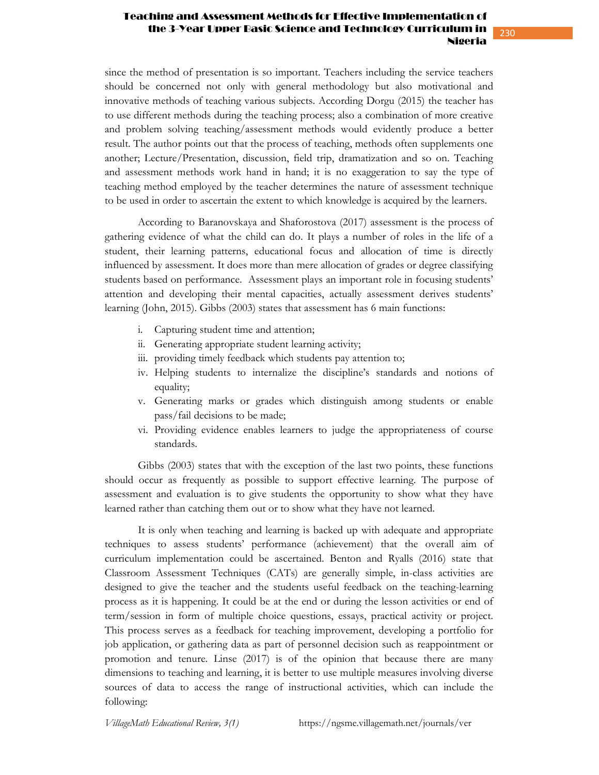#### Teaching and Assessment Methods for Effective Implementation of the 3-Year Upper Basic Science and Technology Curri Nigeria

since the method of presentation is so important. Teachers including the service teachers should be concerned not only with general methodology but also motivational and innovative methods of teaching various subjects. According Dorgu (2015) the teacher has to use different methods during the teaching process; also a combination of more creative and problem solving teaching/assessment methods would evidently produce a better result. The author points out that the process of teaching, methods often supplements one another; Lecture/Presentation, discussion, field trip, dramatization and so on. Teaching and assessment methods work hand in hand; it is no exaggeration to say the type of teaching method employed by the teacher determines the nature of assessment technique to be used in order to ascertain the extent to which knowledge is acquired by the learners.

According to Baranovskaya and Shaforostova (2017) assessment is the process of gathering evidence of what the child can do. It plays a number of roles in the life of a student, their learning patterns, educational focus and allocation of time is directly influenced by assessment. It does more than mere allocation of grades or degree classifying students based on performance. Assessment plays an important role in focusing students' attention and developing their mental capacities, actually assessment derives students' learning (John, 2015). Gibbs (2003) states that assessment has 6 main functions:

- i. Capturing student time and attention;
- ii. Generating appropriate student learning activity;
- iii. providing timely feedback which students pay attention to;
- iv. Helping students to internalize the discipline's standards and notions of equality;
- v. Generating marks or grades which distinguish among students or enable pass/fail decisions to be made;
- vi. Providing evidence enables learners to judge the appropriateness of course standards.

Gibbs (2003) states that with the exception of the last two points, these functions should occur as frequently as possible to support effective learning. The purpose of assessment and evaluation is to give students the opportunity to show what they have learned rather than catching them out or to show what they have not learned.

It is only when teaching and learning is backed up with adequate and appropriate techniques to assess students' performance (achievement) that the overall aim of curriculum implementation could be ascertained. Benton and Ryalls (2016) state that Classroom Assessment Techniques (CATs) are generally simple, in-class activities are designed to give the teacher and the students useful feedback on the teaching-learning process as it is happening. It could be at the end or during the lesson activities or end of term/session in form of multiple choice questions, essays, practical activity or project. This process serves as a feedback for teaching improvement, developing a portfolio for job application, or gathering data as part of personnel decision such as reappointment or promotion and tenure. Linse (2017) is of the opinion that because there are many dimensions to teaching and learning, it is better to use multiple measures involving diverse sources of data to access the range of instructional activities, which can include the following: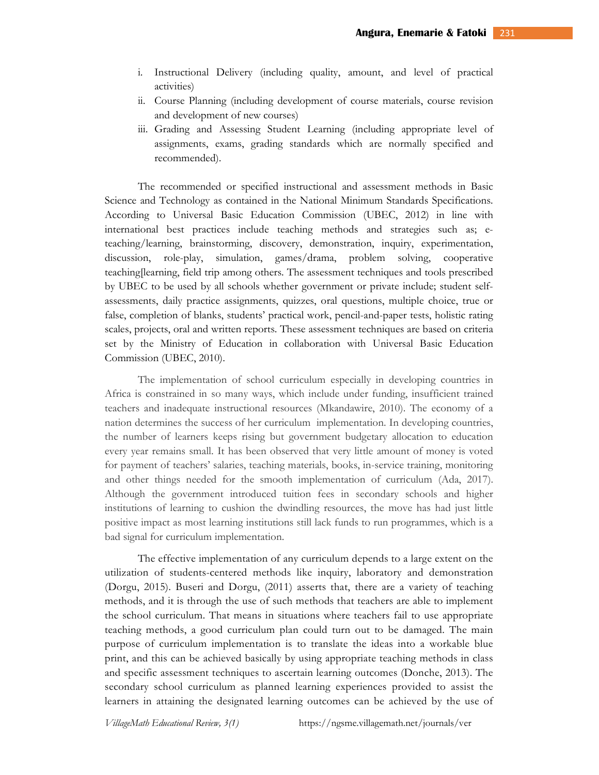- i. Instructional Delivery (including quality, amount, and level of practical activities)
- ii. Course Planning (including development of course materials, course revision and development of new courses)
- iii. Grading and Assessing Student Learning (including appropriate level of assignments, exams, grading standards which are normally specified and recommended).

The recommended or specified instructional and assessment methods in Basic Science and Technology as contained in the National Minimum Standards Specifications. According to Universal Basic Education Commission (UBEC, 2012) in line with international best practices include teaching methods and strategies such as; eteaching/learning, brainstorming, discovery, demonstration, inquiry, experimentation, discussion, role-play, simulation, games/drama, problem solving, cooperative teaching[learning, field trip among others. The assessment techniques and tools prescribed by UBEC to be used by all schools whether government or private include; student selfassessments, daily practice assignments, quizzes, oral questions, multiple choice, true or false, completion of blanks, students' practical work, pencil-and-paper tests, holistic rating scales, projects, oral and written reports. These assessment techniques are based on criteria set by the Ministry of Education in collaboration with Universal Basic Education Commission (UBEC, 2010).

The implementation of school curriculum especially in developing countries in Africa is constrained in so many ways, which include under funding, insufficient trained teachers and inadequate instructional resources (Mkandawire, 2010). The economy of a nation determines the success of her curriculum implementation. In developing countries, the number of learners keeps rising but government budgetary allocation to education every year remains small. It has been observed that very little amount of money is voted for payment of teachers' salaries, teaching materials, books, in-service training, monitoring and other things needed for the smooth implementation of curriculum (Ada, 2017). Although the government introduced tuition fees in secondary schools and higher institutions of learning to cushion the dwindling resources, the move has had just little positive impact as most learning institutions still lack funds to run programmes, which is a bad signal for curriculum implementation.

The effective implementation of any curriculum depends to a large extent on the utilization of students-centered methods like inquiry, laboratory and demonstration (Dorgu, 2015). Buseri and Dorgu, (2011) asserts that, there are a variety of teaching methods, and it is through the use of such methods that teachers are able to implement the school curriculum. That means in situations where teachers fail to use appropriate teaching methods, a good curriculum plan could turn out to be damaged. The main purpose of curriculum implementation is to translate the ideas into a workable blue print, and this can be achieved basically by using appropriate teaching methods in class and specific assessment techniques to ascertain learning outcomes (Donche, 2013). The secondary school curriculum as planned learning experiences provided to assist the learners in attaining the designated learning outcomes can be achieved by the use of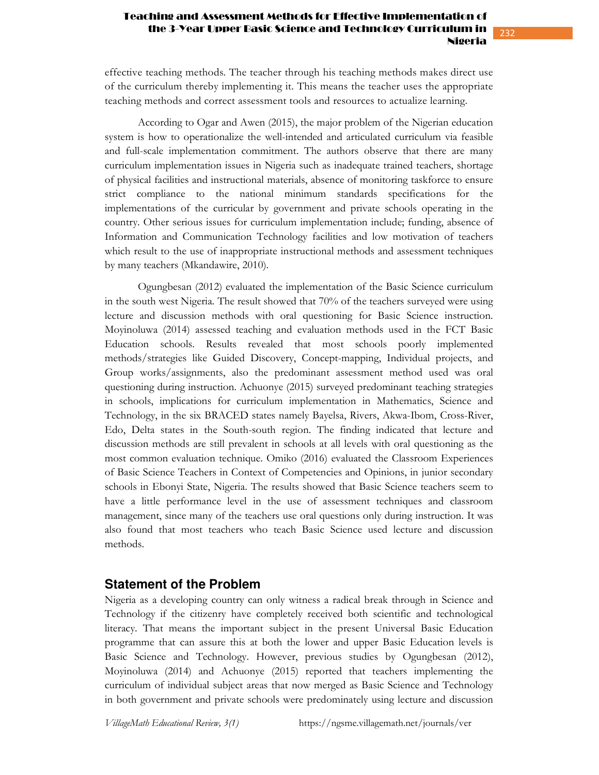#### Teaching and Assessment Methods for Effective Implementation of the 3-Year Upper Basic Science and Technology Curric Nigeria

effective teaching methods. The teacher through his teaching methods makes direct use of the curriculum thereby implementing it. This means the teacher uses the appropriate teaching methods and correct assessment tools and resources to actualize learning.

According to Ogar and Awen (2015), the major problem of the Nigerian education system is how to operationalize the well-intended and articulated curriculum via feasible and full-scale implementation commitment. The authors observe that there are many curriculum implementation issues in Nigeria such as inadequate trained teachers, shortage of physical facilities and instructional materials, absence of monitoring taskforce to ensure strict compliance to the national minimum standards specifications for the implementations of the curricular by government and private schools operating in the country. Other serious issues for curriculum implementation include; funding, absence of Information and Communication Technology facilities and low motivation of teachers which result to the use of inappropriate instructional methods and assessment techniques by many teachers (Mkandawire, 2010).

Ogungbesan (2012) evaluated the implementation of the Basic Science curriculum in the south west Nigeria. The result showed that 70% of the teachers surveyed were using lecture and discussion methods with oral questioning for Basic Science instruction. Moyinoluwa (2014) assessed teaching and evaluation methods used in the FCT Basic Education schools. Results revealed that most schools poorly implemented methods/strategies like Guided Discovery, Concept-mapping, Individual projects, and Group works/assignments, also the predominant assessment method used was oral questioning during instruction. Achuonye (2015) surveyed predominant teaching strategies in schools, implications for curriculum implementation in Mathematics, Science and Technology, in the six BRACED states namely Bayelsa, Rivers, Akwa-Ibom, Cross-River, Edo, Delta states in the South-south region. The finding indicated that lecture and discussion methods are still prevalent in schools at all levels with oral questioning as the most common evaluation technique. Omiko (2016) evaluated the Classroom Experiences of Basic Science Teachers in Context of Competencies and Opinions, in junior secondary schools in Ebonyi State, Nigeria. The results showed that Basic Science teachers seem to have a little performance level in the use of assessment techniques and classroom management, since many of the teachers use oral questions only during instruction. It was also found that most teachers who teach Basic Science used lecture and discussion methods.

## **Statement of the Problem**

Nigeria as a developing country can only witness a radical break through in Science and Technology if the citizenry have completely received both scientific and technological literacy. That means the important subject in the present Universal Basic Education programme that can assure this at both the lower and upper Basic Education levels is Basic Science and Technology. However, previous studies by Ogungbesan (2012), Moyinoluwa (2014) and Achuonye (2015) reported that teachers implementing the curriculum of individual subject areas that now merged as Basic Science and Technology in both government and private schools were predominately using lecture and discussion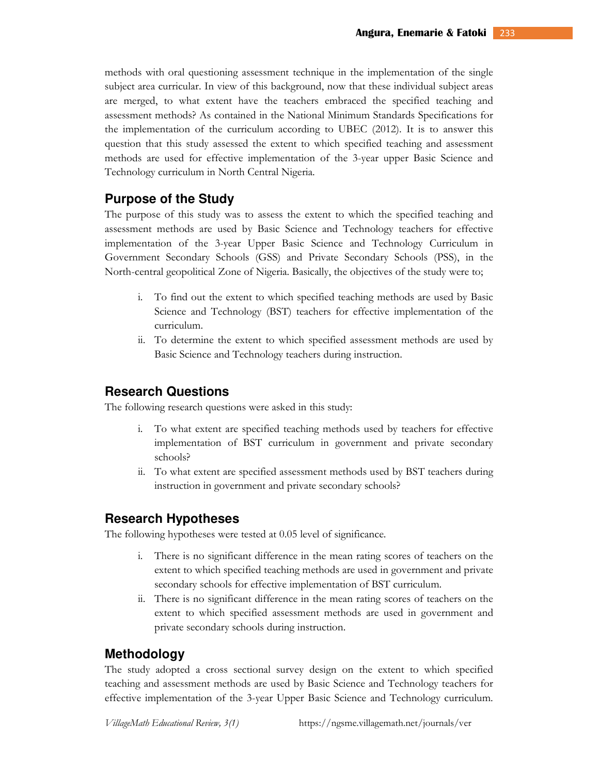methods with oral questioning assessment technique in the implementation of the single subject area curricular. In view of this background, now that these individual subject areas are merged, to what extent have the teachers embraced the specified teaching and assessment methods? As contained in the National Minimum Standards Specifications for the implementation of the curriculum according to UBEC (2012). It is to answer this question that this study assessed the extent to which specified teaching and assessment methods are used for effective implementation of the 3-year upper Basic Science and Technology curriculum in North Central Nigeria.

## **Purpose of the Study**

The purpose of this study was to assess the extent to which the specified teaching and assessment methods are used by Basic Science and Technology teachers for effective implementation of the 3-year Upper Basic Science and Technology Curriculum in Government Secondary Schools (GSS) and Private Secondary Schools (PSS), in the North-central geopolitical Zone of Nigeria. Basically, the objectives of the study were to;

- i. To find out the extent to which specified teaching methods are used by Basic Science and Technology (BST) teachers for effective implementation of the curriculum.
- ii. To determine the extent to which specified assessment methods are used by Basic Science and Technology teachers during instruction.

## **Research Questions**

The following research questions were asked in this study:

- i. To what extent are specified teaching methods used by teachers for effective implementation of BST curriculum in government and private secondary schools?
- ii. To what extent are specified assessment methods used by BST teachers during instruction in government and private secondary schools?

## **Research Hypotheses**

The following hypotheses were tested at 0.05 level of significance.

- i. There is no significant difference in the mean rating scores of teachers on the extent to which specified teaching methods are used in government and private secondary schools for effective implementation of BST curriculum.
- ii. There is no significant difference in the mean rating scores of teachers on the extent to which specified assessment methods are used in government and private secondary schools during instruction.

## **Methodology**

The study adopted a cross sectional survey design on the extent to which specified teaching and assessment methods are used by Basic Science and Technology teachers for effective implementation of the 3-year Upper Basic Science and Technology curriculum.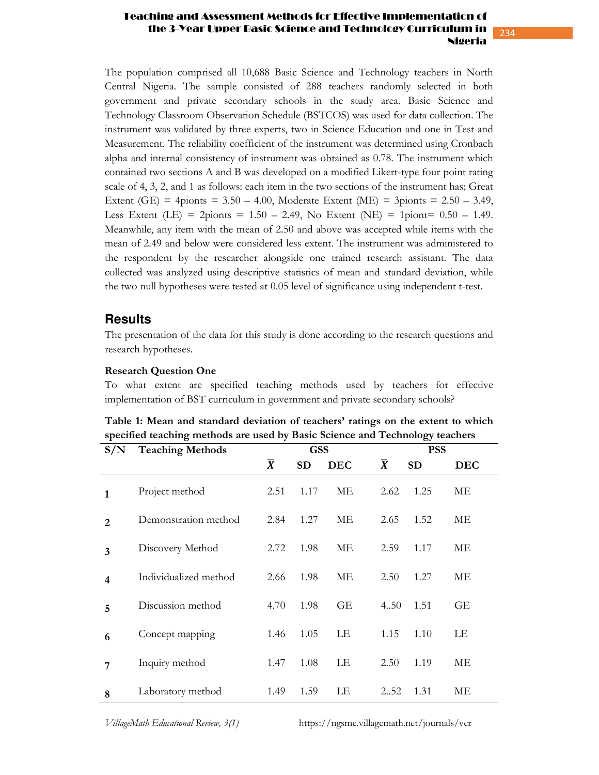#### Teaching and Assessment Methods for Effective Implementation of the 3-Year Upper Basic Science and Technology Curi Nigeria

The population comprised all 10,688 Basic Science and Technology teachers in North Central Nigeria. The sample consisted of 288 teachers randomly selected in both government and private secondary schools in the study area. Basic Science and Technology Classroom Observation Schedule (BSTCOS) was used for data collection. The instrument was validated by three experts, two in Science Education and one in Test and Measurement. The reliability coefficient of the instrument was determined using Cronbach alpha and internal consistency of instrument was obtained as 0.78. The instrument which contained two sections A and B was developed on a modified Likert-type four point rating scale of 4, 3, 2, and 1 as follows: each item in the two sections of the instrument has; Great Extent (GE) = 4pionts =  $3.50 - 4.00$ , Moderate Extent (ME) = 3pionts =  $2.50 - 3.49$ , Less Extent (LE) = 2pionts =  $1.50 - 2.49$ , No Extent (NE) = 1piont=  $0.50 - 1.49$ . Meanwhile, any item with the mean of 2.50 and above was accepted while items with the mean of 2.49 and below were considered less extent. The instrument was administered to the respondent by the researcher alongside one trained research assistant. The data collected was analyzed using descriptive statistics of mean and standard deviation, while the two null hypotheses were tested at 0.05 level of significance using independent t-test.

## **Results**

The presentation of the data for this study is done according to the research questions and research hypotheses.

#### **Research Question One**

To what extent are specified teaching methods used by teachers for effective implementation of BST curriculum in government and private secondary schools?

| S/N            | <b>Teaching Methods</b> |           | <b>GSS</b> |            | <b>PSS</b>     |           |            |
|----------------|-------------------------|-----------|------------|------------|----------------|-----------|------------|
|                |                         | $\bar{X}$ | <b>SD</b>  | <b>DEC</b> | $\overline{X}$ | <b>SD</b> | <b>DEC</b> |
| 1              | Project method          | 2.51      | 1.17       | МE         | 2.62           | 1.25      | МE         |
| $\overline{2}$ | Demonstration method    | 2.84      | 1.27       | МE         | 2.65           | 1.52      | МE         |
| 3              | Discovery Method        | 2.72      | 1.98       | МE         | 2.59           | 1.17      | МE         |
| 4              | Individualized method   | 2.66      | 1.98       | МE         | 2.50           | 1.27      | MЕ         |
| 5              | Discussion method       | 4.70      | 1.98       | GE         | 4.50           | 1.51      | GE         |
| 6              | Concept mapping         | 1.46      | 1.05       | LE         | 1.15           | 1.10      | LE         |
| 7              | Inquiry method          | 1.47      | 1.08       | LE         | 2.50           | 1.19      | MЕ         |
| 8              | Laboratory method       | 1.49      | 1.59       | LE         | 2.52           | 1.31      | МE         |

**Table 1: Mean and standard deviation of teachers' ratings on the extent to which specified teaching methods are used by Basic Science and Technology teachers** 

*VillageMath Educational Review, 3(1)* https://ngsme.villagemath.net/journals/ver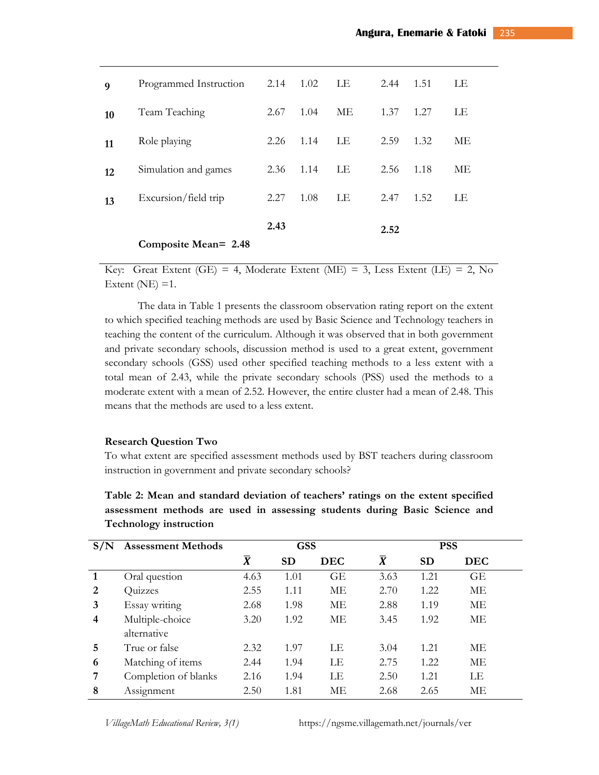| LΕ |
|----|
| МE |
| ME |
| LE |
| LE |
|    |

Key: Great Extent (GE) = 4, Moderate Extent (ME) = 3, Less Extent (LE) = 2, No Extent ( $NE$ ) = 1.

The data in Table 1 presents the classroom observation rating report on the extent to which specified teaching methods are used by Basic Science and Technology teachers in teaching the content of the curriculum. Although it was observed that in both government and private secondary schools, discussion method is used to a great extent, government secondary schools (GSS) used other specified teaching methods to a less extent with a total mean of 2.43, while the private secondary schools (PSS) used the methods to a moderate extent with a mean of 2.52. However, the entire cluster had a mean of 2.48. This means that the methods are used to a less extent.

#### **Research Question Two**

To what extent are specified assessment methods used by BST teachers during classroom instruction in government and private secondary schools?

**Table 2: Mean and standard deviation of teachers' ratings on the extent specified assessment methods are used in assessing students during Basic Science and Technology instruction** 

| S/N | <b>Assessment Methods</b> | <b>GSS</b>     |           |            |           | <b>PSS</b> |            |  |
|-----|---------------------------|----------------|-----------|------------|-----------|------------|------------|--|
|     |                           | $\overline{X}$ | <b>SD</b> | <b>DEC</b> | $\bar{X}$ | <b>SD</b>  | <b>DEC</b> |  |
|     | Oral question             | 4.63           | 1.01      | GE         |           | 1.21       | GE         |  |
| 2   | Quizzes                   | 2.55           | 1.11      | МE         | 2.70      | 1.22       | MЕ         |  |
| 3   | Essay writing             | 2.68           | 1.98      | MЕ         | 2.88      | 1.19       | MЕ         |  |
| 4   | Multiple-choice           | 3.20           | 1.92      | МE         | 3.45      | 1.92       | МE         |  |
|     | alternative               |                |           |            |           |            |            |  |
| 5   | True or false             | 2.32           | 1.97      | LE         | 3.04      | 1.21       | МE         |  |
| 6   | Matching of items         | 2.44           | 1.94      | LE         | 2.75      | 1.22       | МE         |  |
| 7   | Completion of blanks      | 2.16           | 1.94      | LE         | 2.50      | 1.21       | LE         |  |
| 8   | Assignment                | 2.50           | 1.81      | MЕ         | 2.68      | 2.65       | МE         |  |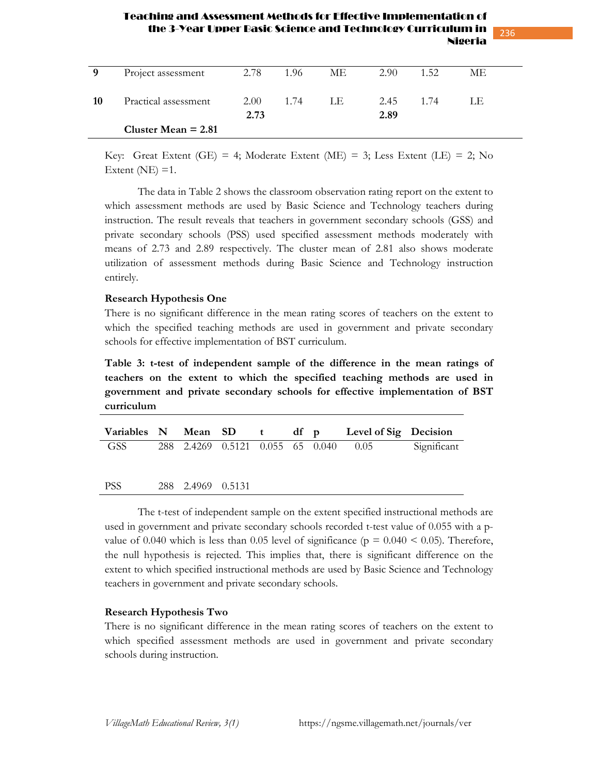#### Teaching and Assessment Methods for Effective Implementation of the 3-Year Upper Basic Science and Technology Curri Nigeria

236

| 9  | Project assessment    | 2.78         | 1.96 | ME  | 2.90         | 1.52 | МE |  |
|----|-----------------------|--------------|------|-----|--------------|------|----|--|
| 10 | Practical assessment  | 2.00<br>2.73 | 1.74 | LE. | 2.45<br>2.89 | 1.74 | LE |  |
|    | Cluster Mean $= 2.81$ |              |      |     |              |      |    |  |

Key: Great Extent (GE) = 4; Moderate Extent (ME) = 3; Less Extent (LE) = 2; No Extent ( $NE$ ) = 1.

The data in Table 2 shows the classroom observation rating report on the extent to which assessment methods are used by Basic Science and Technology teachers during instruction. The result reveals that teachers in government secondary schools (GSS) and private secondary schools (PSS) used specified assessment methods moderately with means of 2.73 and 2.89 respectively. The cluster mean of 2.81 also shows moderate utilization of assessment methods during Basic Science and Technology instruction entirely.

#### **Research Hypothesis One**

There is no significant difference in the mean rating scores of teachers on the extent to which the specified teaching methods are used in government and private secondary schools for effective implementation of BST curriculum.

**Table 3: t-test of independent sample of the difference in the mean ratings of teachers on the extent to which the specified teaching methods are used in government and private secondary schools for effective implementation of BST curriculum**

|     |  |  |  | Variables N Mean SD t df p Level of Sig Decision  |  |
|-----|--|--|--|---------------------------------------------------|--|
| GSS |  |  |  | 288 2.4269 0.5121 0.055 65 0.040 0.05 Significant |  |
|     |  |  |  |                                                   |  |

PSS 288 2.4969 0.5131

 The t-test of independent sample on the extent specified instructional methods are used in government and private secondary schools recorded t-test value of 0.055 with a pvalue of 0.040 which is less than 0.05 level of significance ( $p = 0.040 \le 0.05$ ). Therefore, the null hypothesis is rejected. This implies that, there is significant difference on the extent to which specified instructional methods are used by Basic Science and Technology teachers in government and private secondary schools.

#### **Research Hypothesis Two**

There is no significant difference in the mean rating scores of teachers on the extent to which specified assessment methods are used in government and private secondary schools during instruction.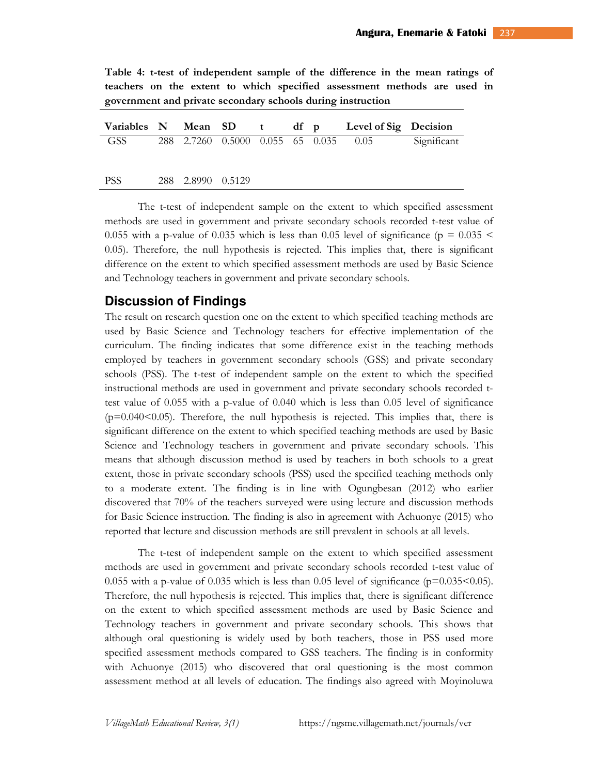**Table 4: t-test of independent sample of the difference in the mean ratings of teachers on the extent to which specified assessment methods are used in government and private secondary schools during instruction** 

|            |                   |  |  | Variables N Mean SD t df p Level of Sig Decision |             |
|------------|-------------------|--|--|--------------------------------------------------|-------------|
| GSS        |                   |  |  | 288 2.7260 0.5000 0.055 65 0.035 0.05            | Significant |
| <b>PSS</b> | 288 2.8990 0.5129 |  |  |                                                  |             |
|            |                   |  |  |                                                  |             |

 The t-test of independent sample on the extent to which specified assessment methods are used in government and private secondary schools recorded t-test value of 0.055 with a p-value of 0.035 which is less than 0.05 level of significance ( $p = 0.035$  < 0.05). Therefore, the null hypothesis is rejected. This implies that, there is significant difference on the extent to which specified assessment methods are used by Basic Science and Technology teachers in government and private secondary schools.

## **Discussion of Findings**

The result on research question one on the extent to which specified teaching methods are used by Basic Science and Technology teachers for effective implementation of the curriculum. The finding indicates that some difference exist in the teaching methods employed by teachers in government secondary schools (GSS) and private secondary schools (PSS). The t-test of independent sample on the extent to which the specified instructional methods are used in government and private secondary schools recorded ttest value of 0.055 with a p-value of 0.040 which is less than 0.05 level of significance  $(p=0.040<0.05)$ . Therefore, the null hypothesis is rejected. This implies that, there is significant difference on the extent to which specified teaching methods are used by Basic Science and Technology teachers in government and private secondary schools. This means that although discussion method is used by teachers in both schools to a great extent, those in private secondary schools (PSS) used the specified teaching methods only to a moderate extent. The finding is in line with Ogungbesan (2012) who earlier discovered that 70% of the teachers surveyed were using lecture and discussion methods for Basic Science instruction. The finding is also in agreement with Achuonye (2015) who reported that lecture and discussion methods are still prevalent in schools at all levels.

The t-test of independent sample on the extent to which specified assessment methods are used in government and private secondary schools recorded t-test value of 0.055 with a p-value of 0.035 which is less than 0.05 level of significance ( $p=0.035<0.05$ ). Therefore, the null hypothesis is rejected. This implies that, there is significant difference on the extent to which specified assessment methods are used by Basic Science and Technology teachers in government and private secondary schools. This shows that although oral questioning is widely used by both teachers, those in PSS used more specified assessment methods compared to GSS teachers. The finding is in conformity with Achuonye (2015) who discovered that oral questioning is the most common assessment method at all levels of education. The findings also agreed with Moyinoluwa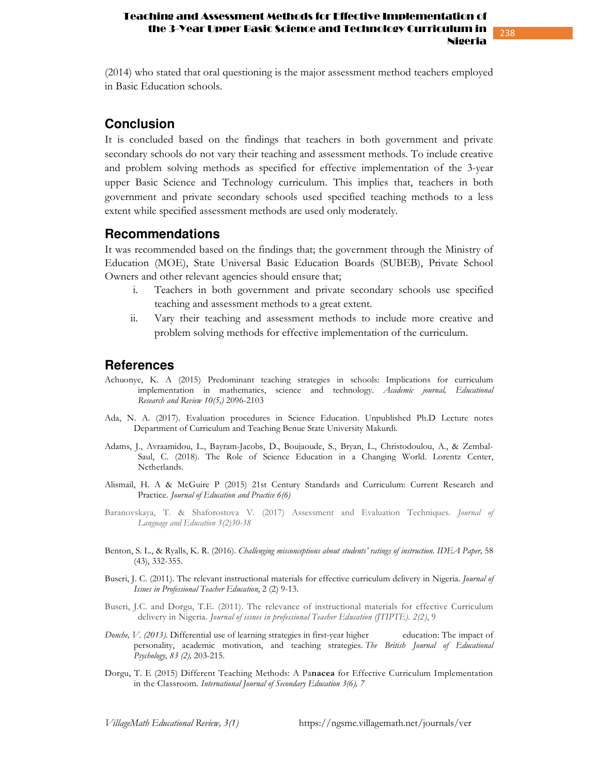#### Teaching and Assessment Methods for Effective Implementation of the 3-Year Upper Basic Science and Technology Curri Nigeria

238

(2014) who stated that oral questioning is the major assessment method teachers employed in Basic Education schools.

## **Conclusion**

It is concluded based on the findings that teachers in both government and private secondary schools do not vary their teaching and assessment methods. To include creative and problem solving methods as specified for effective implementation of the 3-year upper Basic Science and Technology curriculum. This implies that, teachers in both government and private secondary schools used specified teaching methods to a less extent while specified assessment methods are used only moderately.

## **Recommendations**

It was recommended based on the findings that; the government through the Ministry of Education (MOE), State Universal Basic Education Boards (SUBEB), Private School Owners and other relevant agencies should ensure that;

- i. Teachers in both government and private secondary schools use specified teaching and assessment methods to a great extent.
- ii. Vary their teaching and assessment methods to include more creative and problem solving methods for effective implementation of the curriculum.

## **References**

- Achuonye, K. A (2015) Predominant teaching strategies in schools: Implications for curriculum implementation in mathematics, science and technology. *Academic journal, Educational Research and Review 10(5,)* 2096-2103
- Ada, N. A. (2017). Evaluation procedures in Science Education. Unpublished Ph.D Lecture notes Department of Curriculum and Teaching Benue State University Makurdi.
- Adams, J., Avraamidou, L., Bayram-Jacobs, D., Boujaoude, S., Bryan, L., Christodoulou, A., & Zembal- Saul, C. (2018). The Role of Science Education in a Changing World. Lorentz Center, Netherlands.
- Alismail, H. A & McGuire P (2015) 21st Century Standards and Curriculum: Current Research and Practice. *Journal of Education and Practice 6(6)*
- Baranovskaya, T. & Shaforostova V. (2017) Assessment and Evaluation Techniques. *Journal of Language and Education 3(2)30-38*
- Benton, S. L., & Ryalls, K. R. (2016). *Challenging misconceptions about students' ratings of instruction. IDEA Paper,* 58 (43), 332-355.
- Buseri, J. C. (2011). The relevant instructional materials for effective curriculum delivery in Nigeria. *Journal of Issues in Professional Teacher Education*, 2 (2) 9-13.
- Buseri, J.C. and Dorgu, T.E. (2011). The relevance of instructional materials for effective Curriculum delivery in Nigeria. *Journal of issues in professional Teacher Education (JTIPTE). 2(2)*, 9
- *Donche, V. (2013).* Differential use of learning strategies in first-year higher education: The impact of personality, academic motivation, and teaching strategies. *The British Journal of Educational Psychology, 83 (2),* 203-215*.*
- Dorgu, T. E (2015) Different Teaching Methods: A Pa**nacea** for Effective Curriculum Implementation in the Classroom. *International Journal of Secondary Education 3(6), 7*